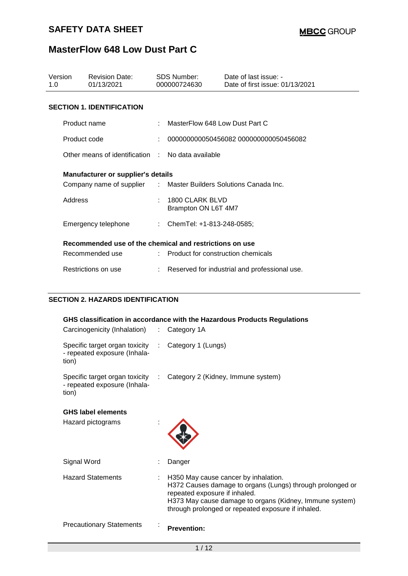| Version<br>1.0 | <b>Revision Date:</b><br>01/13/2021                              | SDS Number:<br>000000724630            | Date of last issue: -<br>Date of first issue: 01/13/2021 |
|----------------|------------------------------------------------------------------|----------------------------------------|----------------------------------------------------------|
|                | <b>SECTION 1. IDENTIFICATION</b>                                 |                                        |                                                          |
|                | Product name                                                     | MasterFlow 648 Low Dust Part C         |                                                          |
|                | Product code                                                     |                                        | 000000000050456082 000000000050456082                    |
|                | Other means of identification : No data available                |                                        |                                                          |
|                | <b>Manufacturer or supplier's details</b>                        |                                        |                                                          |
|                | Company name of supplier : Master Builders Solutions Canada Inc. |                                        |                                                          |
| Address        |                                                                  | 1800 CLARK BLVD<br>Brampton ON L6T 4M7 |                                                          |
|                | Emergency telephone                                              | : ChemTel: $+1-813-248-0585$ ;         |                                                          |
|                | Recommended use of the chemical and restrictions on use          |                                        |                                                          |
|                | Recommended use                                                  | : Product for construction chemicals   |                                                          |
|                | Restrictions on use                                              |                                        | Reserved for industrial and professional use.            |

### **SECTION 2. HAZARDS IDENTIFICATION**

| Carcinogenicity (Inhalation)                                                                 |    | GHS classification in accordance with the Hazardous Products Regulations<br>$\therefore$ Category 1A                                                                                                                                                |
|----------------------------------------------------------------------------------------------|----|-----------------------------------------------------------------------------------------------------------------------------------------------------------------------------------------------------------------------------------------------------|
| Specific target organ toxicity : Category 1 (Lungs)<br>- repeated exposure (Inhala-<br>tion) |    |                                                                                                                                                                                                                                                     |
| Specific target organ toxicity<br>- repeated exposure (Inhala-<br>tion)                      | ÷. | Category 2 (Kidney, Immune system)                                                                                                                                                                                                                  |
| <b>GHS label elements</b><br>Hazard pictograms                                               |    |                                                                                                                                                                                                                                                     |
| Signal Word                                                                                  |    | Danger                                                                                                                                                                                                                                              |
| <b>Hazard Statements</b>                                                                     |    | H350 May cause cancer by inhalation.<br>H372 Causes damage to organs (Lungs) through prolonged or<br>repeated exposure if inhaled.<br>H373 May cause damage to organs (Kidney, Immune system)<br>through prolonged or repeated exposure if inhaled. |
| <b>Precautionary Statements</b>                                                              |    | <b>Prevention:</b>                                                                                                                                                                                                                                  |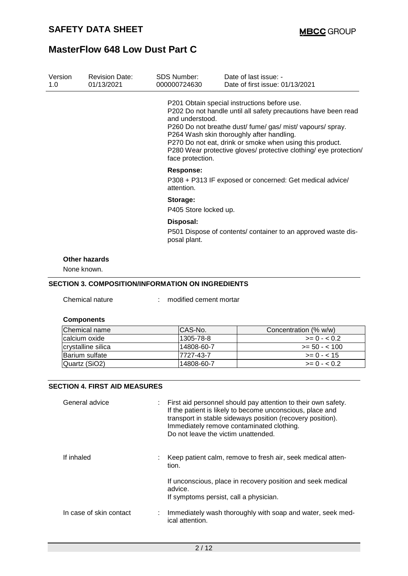| Version<br>1.0 | <b>Revision Date:</b><br>01/13/2021 | SDS Number:<br>000000724630                                                                | Date of last issue: -<br>Date of first issue: 01/13/2021                                                                                                                                                                                                                                                                                                   |  |  |  |
|----------------|-------------------------------------|--------------------------------------------------------------------------------------------|------------------------------------------------------------------------------------------------------------------------------------------------------------------------------------------------------------------------------------------------------------------------------------------------------------------------------------------------------------|--|--|--|
|                |                                     | and understood.<br>face protection.                                                        | P201 Obtain special instructions before use.<br>P202 Do not handle until all safety precautions have been read<br>P260 Do not breathe dust/ fume/ gas/ mist/ vapours/ spray.<br>P264 Wash skin thoroughly after handling.<br>P270 Do not eat, drink or smoke when using this product.<br>P280 Wear protective gloves/ protective clothing/ eye protection/ |  |  |  |
|                |                                     | <b>Response:</b><br>P308 + P313 IF exposed or concerned: Get medical advice/<br>attention. |                                                                                                                                                                                                                                                                                                                                                            |  |  |  |
|                |                                     | Storage:<br>P405 Store locked up.                                                          |                                                                                                                                                                                                                                                                                                                                                            |  |  |  |
|                |                                     | Disposal:                                                                                  |                                                                                                                                                                                                                                                                                                                                                            |  |  |  |
|                |                                     | P501 Dispose of contents/ container to an approved waste dis-<br>posal plant.              |                                                                                                                                                                                                                                                                                                                                                            |  |  |  |
|                | Other hazards                       |                                                                                            |                                                                                                                                                                                                                                                                                                                                                            |  |  |  |
|                | None known.                         |                                                                                            |                                                                                                                                                                                                                                                                                                                                                            |  |  |  |
|                |                                     | <b>SECTION 3. COMPOSITION/INFORMATION ON INGREDIENTS</b>                                   |                                                                                                                                                                                                                                                                                                                                                            |  |  |  |
|                | Chemical nature                     | modified cement mortar                                                                     |                                                                                                                                                                                                                                                                                                                                                            |  |  |  |

#### **Components**

| Chemical name      | ICAS-No.   | Concentration (% w/w) |
|--------------------|------------|-----------------------|
| Icalcium oxide     | 1305-78-8  | $>= 0 - 0.2$          |
| crystalline silica | 14808-60-7 | $>= 50 - 100$         |
| Barium sulfate     | 17727-43-7 | $>= 0 - < 15$         |
| Quartz (SiO2)      | 14808-60-7 | $>= 0 - 0.2$          |

#### **SECTION 4. FIRST AID MEASURES**

| General advice          | : First aid personnel should pay attention to their own safety.<br>If the patient is likely to become unconscious, place and<br>transport in stable sideways position (recovery position).<br>Immediately remove contaminated clothing.<br>Do not leave the victim unattended. |
|-------------------------|--------------------------------------------------------------------------------------------------------------------------------------------------------------------------------------------------------------------------------------------------------------------------------|
| If inhaled              | : Keep patient calm, remove to fresh air, seek medical atten-<br>tion.                                                                                                                                                                                                         |
|                         | If unconscious, place in recovery position and seek medical<br>advice.<br>If symptoms persist, call a physician.                                                                                                                                                               |
| In case of skin contact | Immediately wash thoroughly with soap and water, seek med-<br>ical attention.                                                                                                                                                                                                  |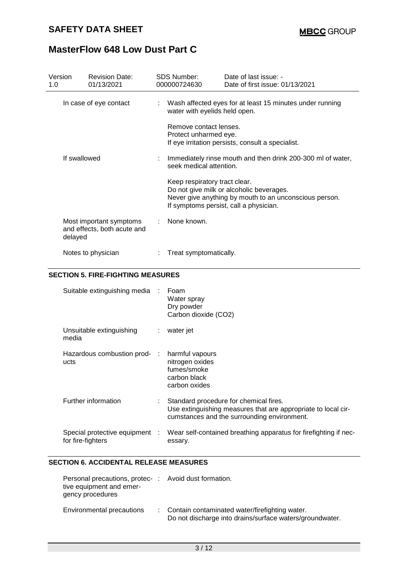| Version<br>1.0 | <b>Revision Date:</b><br>01/13/2021                    |  | SDS Number:<br>000000724630                     | Date of last issue: -<br>Date of first issue: 01/13/2021                                                                                     |
|----------------|--------------------------------------------------------|--|-------------------------------------------------|----------------------------------------------------------------------------------------------------------------------------------------------|
|                | In case of eye contact                                 |  | water with eyelids held open.                   | Wash affected eyes for at least 15 minutes under running                                                                                     |
|                |                                                        |  | Remove contact lenses.<br>Protect unharmed eye. | If eye irritation persists, consult a specialist.                                                                                            |
|                | If swallowed                                           |  | seek medical attention.                         | : Immediately rinse mouth and then drink 200-300 ml of water,                                                                                |
|                |                                                        |  | Keep respiratory tract clear.                   | Do not give milk or alcoholic beverages.<br>Never give anything by mouth to an unconscious person.<br>If symptoms persist, call a physician. |
| delayed        | Most important symptoms<br>and effects, both acute and |  | : None known.                                   |                                                                                                                                              |
|                | Notes to physician                                     |  | Treat symptomatically.                          |                                                                                                                                              |

### **SECTION 5. FIRE-FIGHTING MEASURES**

| Suitable extinguishing media :                      |    | Foam<br>Water spray<br>Dry powder<br>Carbon dioxide (CO2)                                                                                              |
|-----------------------------------------------------|----|--------------------------------------------------------------------------------------------------------------------------------------------------------|
| Unsuitable extinguishing<br>media                   | ÷. | water jet                                                                                                                                              |
| Hazardous combustion prod- :<br>ucts                |    | harmful vapours<br>nitrogen oxides<br>fumes/smoke<br>carbon black<br>carbon oxides                                                                     |
| Further information                                 |    | Standard procedure for chemical fires.<br>Use extinguishing measures that are appropriate to local cir-<br>cumstances and the surrounding environment. |
| Special protective equipment :<br>for fire-fighters |    | Wear self-contained breathing apparatus for firefighting if nec-<br>essary.                                                                            |

#### **SECTION 6. ACCIDENTAL RELEASE MEASURES**

| Personal precautions, protec-: Avoid dust formation.<br>tive equipment and emer-<br>gency procedures |                                                                                                              |
|------------------------------------------------------------------------------------------------------|--------------------------------------------------------------------------------------------------------------|
| Environmental precautions                                                                            | : Contain contaminated water/firefighting water.<br>Do not discharge into drains/surface waters/groundwater. |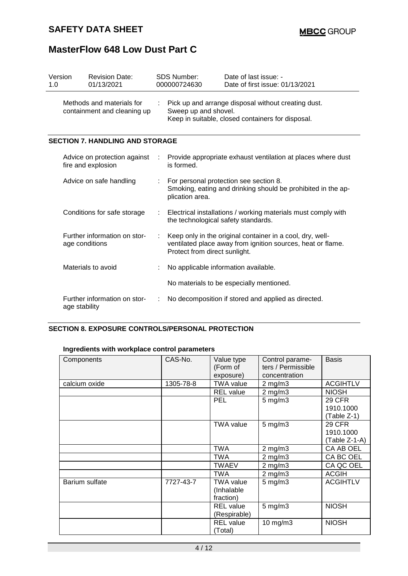| Version<br>1.0 |                | <b>Revision Date:</b><br>01/13/2021                      | <b>SDS Number:</b><br>000000724630                                                                                                                        | Date of last issue: -<br>Date of first issue: 01/13/2021     |  |  |
|----------------|----------------|----------------------------------------------------------|-----------------------------------------------------------------------------------------------------------------------------------------------------------|--------------------------------------------------------------|--|--|
|                |                | Methods and materials for<br>containment and cleaning up | Pick up and arrange disposal without creating dust.<br>Sweep up and shovel.<br>Keep in suitable, closed containers for disposal.                          |                                                              |  |  |
|                |                | <b>SECTION 7. HANDLING AND STORAGE</b>                   |                                                                                                                                                           |                                                              |  |  |
|                |                | Advice on protection against<br>fire and explosion       | is formed.                                                                                                                                                | Provide appropriate exhaust ventilation at places where dust |  |  |
|                |                | Advice on safe handling                                  | For personal protection see section 8.<br>Smoking, eating and drinking should be prohibited in the ap-<br>plication area.                                 |                                                              |  |  |
|                |                | Conditions for safe storage                              | Electrical installations / working materials must comply with<br>the technological safety standards.                                                      |                                                              |  |  |
|                | age conditions | Further information on stor-                             | Keep only in the original container in a cool, dry, well-<br>ventilated place away from ignition sources, heat or flame.<br>Protect from direct sunlight. |                                                              |  |  |
|                |                | Materials to avoid                                       | No applicable information available.                                                                                                                      |                                                              |  |  |
|                |                |                                                          | No materials to be especially mentioned.                                                                                                                  |                                                              |  |  |
|                | age stability  | Further information on stor-                             |                                                                                                                                                           | No decomposition if stored and applied as directed.          |  |  |

### **SECTION 8. EXPOSURE CONTROLS/PERSONAL PROTECTION**

### **Ingredients with workplace control parameters**

| Components     | CAS-No.   | Value type<br>(Form of<br>exposure)  | Control parame-<br>ters / Permissible<br>concentration | <b>Basis</b>                                |
|----------------|-----------|--------------------------------------|--------------------------------------------------------|---------------------------------------------|
| calcium oxide  | 1305-78-8 | <b>TWA value</b>                     | $2$ mg/m $3$                                           | <b>ACGIHTLV</b>                             |
|                |           | <b>REL</b> value                     | $2$ mg/m $3$                                           | <b>NIOSH</b>                                |
|                |           | <b>PEL</b>                           | $5$ mg/m $3$                                           | <b>29 CFR</b><br>1910.1000<br>(Table Z-1)   |
|                |           | <b>TWA value</b>                     | $5 \text{ mg/m}$ 3                                     | <b>29 CFR</b><br>1910.1000<br>(Table Z-1-A) |
|                |           | <b>TWA</b>                           | $2$ mg/m $3$                                           | CA AB OEL                                   |
|                |           | TWA                                  | $2$ mg/m $3$                                           | CA BC OEL                                   |
|                |           | <b>TWAEV</b>                         | $2$ mg/m $3$                                           | CA QC OEL                                   |
|                |           | <b>TWA</b>                           | $2$ mg/m $3$                                           | <b>ACGIH</b>                                |
| Barium sulfate | 7727-43-7 | TWA value<br>(Inhalable<br>fraction) | $5$ mg/m $3$                                           | <b>ACGIHTLV</b>                             |
|                |           | <b>REL</b> value<br>(Respirable)     | $5 \text{ mg/m}$ 3                                     | <b>NIOSH</b>                                |
|                |           | <b>REL</b> value<br>(Total)          | 10 mg/m3                                               | <b>NIOSH</b>                                |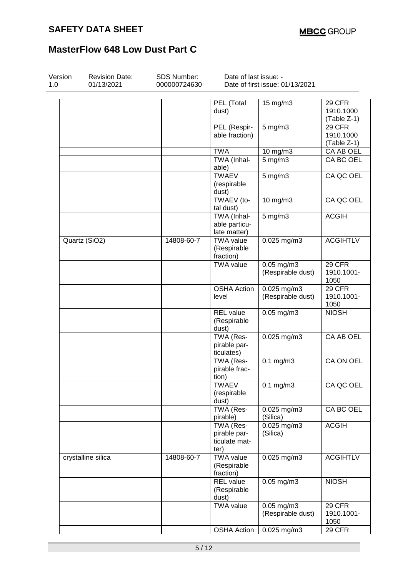| Version<br>1.0 | <b>Revision Date:</b><br>01/13/2021 | <b>SDS Number:</b><br>000000724630 | Date of last issue: -                              | Date of first issue: 01/13/2021      |                                           |
|----------------|-------------------------------------|------------------------------------|----------------------------------------------------|--------------------------------------|-------------------------------------------|
|                |                                     |                                    | PEL (Total<br>dust)                                | 15 mg/m3                             | <b>29 CFR</b><br>1910.1000<br>(Table Z-1) |
|                |                                     |                                    | PEL (Respir-<br>able fraction)                     | $5$ mg/m $3$                         | 29 CFR<br>1910.1000<br>(Table Z-1)        |
|                |                                     |                                    | <b>TWA</b>                                         | 10 mg/m $3$                          | CA AB OEL                                 |
|                |                                     |                                    | TWA (Inhal-<br>able)                               | $5$ mg/m $3$                         | CA BC OEL                                 |
|                |                                     |                                    | <b>TWAEV</b><br>(respirable<br>dust)               | $5$ mg/m $3$                         | CA QC OEL                                 |
|                |                                     |                                    | TWAEV (to-<br>tal dust)                            | 10 mg/m3                             | CA QC OEL                                 |
|                |                                     |                                    | TWA (Inhal-<br>able particu-<br>late matter)       | $5$ mg/m $3$                         | <b>ACGIH</b>                              |
|                | Quartz (SiO2)                       | 14808-60-7                         | <b>TWA value</b><br>(Respirable<br>fraction)       | $0.025$ mg/m3                        | <b>ACGIHTLV</b>                           |
|                |                                     |                                    | <b>TWA value</b>                                   | $0.05$ mg/m $3$<br>(Respirable dust) | 29 CFR<br>1910.1001-<br>1050              |
|                |                                     |                                    | <b>OSHA Action</b><br>level                        | 0.025 mg/m3<br>(Respirable dust)     | 29 CFR<br>1910.1001-<br>1050              |
|                |                                     |                                    | <b>REL</b> value<br>(Respirable<br>dust)           | $0.05$ mg/m $3$                      | <b>NIOSH</b>                              |
|                |                                     |                                    | TWA (Res-<br>pirable par-<br>ticulates)            | $0.025$ mg/m3                        | CA AB OEL                                 |
|                |                                     |                                    | TWA (Res-<br>pirable frac-<br>tion)                | $0.1$ mg/m $3$                       | CA ON OEL                                 |
|                |                                     |                                    | <b>TWAEV</b><br>(respirable<br>dust)               | $0.1$ mg/m $3$                       | CA QC OEL                                 |
|                |                                     |                                    | TWA (Res-<br>pirable)                              | 0.025 mg/m3<br>(Silica)              | CA BC OEL                                 |
|                |                                     |                                    | TWA (Res-<br>pirable par-<br>ticulate mat-<br>ter) | $0.025$ mg/m3<br>(Silica)            | <b>ACGIH</b>                              |
|                | crystalline silica                  | 14808-60-7                         | <b>TWA value</b><br>(Respirable<br>fraction)       | 0.025 mg/m3                          | <b>ACGIHTLV</b>                           |
|                |                                     |                                    | <b>REL</b> value<br>(Respirable<br>dust)           | $0.05$ mg/m $3$                      | <b>NIOSH</b>                              |
|                |                                     |                                    | <b>TWA value</b>                                   | $0.05$ mg/m $3$<br>(Respirable dust) | <b>29 CFR</b><br>1910.1001-<br>1050       |
|                |                                     |                                    | <b>OSHA Action</b>                                 | 0.025 mg/m3                          | <b>29 CFR</b>                             |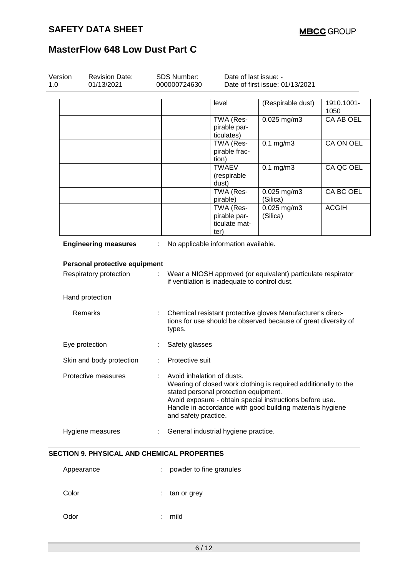| Version<br>1.0 | <b>Revision Date:</b><br>01/13/2021                |                                                                                                                                        | SDS Number:<br>000000724630                                                                                   | Date of last issue: -<br>Date of first issue: 01/13/2021 |                                                                                                                                                                                          |                    |  |  |  |
|----------------|----------------------------------------------------|----------------------------------------------------------------------------------------------------------------------------------------|---------------------------------------------------------------------------------------------------------------|----------------------------------------------------------|------------------------------------------------------------------------------------------------------------------------------------------------------------------------------------------|--------------------|--|--|--|
|                |                                                    |                                                                                                                                        |                                                                                                               | level                                                    | (Respirable dust)                                                                                                                                                                        | 1910.1001-<br>1050 |  |  |  |
|                |                                                    |                                                                                                                                        |                                                                                                               | TWA (Res-<br>pirable par-<br>ticulates)                  | 0.025 mg/m3                                                                                                                                                                              | CA AB OEL          |  |  |  |
|                |                                                    |                                                                                                                                        |                                                                                                               | TWA (Res-<br>pirable frac-<br>tion)                      | $0.1$ mg/m $3$                                                                                                                                                                           | CA ON OEL          |  |  |  |
|                |                                                    |                                                                                                                                        |                                                                                                               | <b>TWAEV</b><br>(respirable<br>dust)                     | $0.1$ mg/m $3$                                                                                                                                                                           | CA QC OEL          |  |  |  |
|                |                                                    |                                                                                                                                        |                                                                                                               | TWA (Res-<br>pirable)                                    | 0.025 mg/m3<br>(Silica)                                                                                                                                                                  | CA BC OEL          |  |  |  |
|                |                                                    |                                                                                                                                        |                                                                                                               | TWA (Res-<br>pirable par-<br>ticulate mat-<br>ter)       | $0.025$ mg/m3<br>(Silica)                                                                                                                                                                | <b>ACGIH</b>       |  |  |  |
|                | <b>Engineering measures</b>                        | ÷                                                                                                                                      |                                                                                                               | No applicable information available.                     |                                                                                                                                                                                          |                    |  |  |  |
|                | Personal protective equipment                      |                                                                                                                                        |                                                                                                               |                                                          |                                                                                                                                                                                          |                    |  |  |  |
|                | Respiratory protection                             | ÷                                                                                                                                      | Wear a NIOSH approved (or equivalent) particulate respirator<br>if ventilation is inadequate to control dust. |                                                          |                                                                                                                                                                                          |                    |  |  |  |
|                | Hand protection                                    |                                                                                                                                        |                                                                                                               |                                                          |                                                                                                                                                                                          |                    |  |  |  |
|                | Remarks                                            | Chemical resistant protective gloves Manufacturer's direc-<br>tions for use should be observed because of great diversity of<br>types. |                                                                                                               |                                                          |                                                                                                                                                                                          |                    |  |  |  |
|                | Eye protection                                     |                                                                                                                                        | Safety glasses                                                                                                |                                                          |                                                                                                                                                                                          |                    |  |  |  |
|                | Skin and body protection                           |                                                                                                                                        | Protective suit                                                                                               |                                                          |                                                                                                                                                                                          |                    |  |  |  |
|                | Protective measures                                |                                                                                                                                        | Avoid inhalation of dusts.<br>and safety practice.                                                            | stated personal protection equipment.                    | Wearing of closed work clothing is required additionally to the<br>Avoid exposure - obtain special instructions before use.<br>Handle in accordance with good building materials hygiene |                    |  |  |  |
|                | Hygiene measures                                   | ÷                                                                                                                                      |                                                                                                               | General industrial hygiene practice.                     |                                                                                                                                                                                          |                    |  |  |  |
|                | <b>SECTION 9. PHYSICAL AND CHEMICAL PROPERTIES</b> |                                                                                                                                        |                                                                                                               |                                                          |                                                                                                                                                                                          |                    |  |  |  |
|                | Appearance                                         |                                                                                                                                        | powder to fine granules                                                                                       |                                                          |                                                                                                                                                                                          |                    |  |  |  |
|                | Color                                              |                                                                                                                                        | tan or grey                                                                                                   |                                                          |                                                                                                                                                                                          |                    |  |  |  |
|                | Odor                                               |                                                                                                                                        | mild                                                                                                          |                                                          |                                                                                                                                                                                          |                    |  |  |  |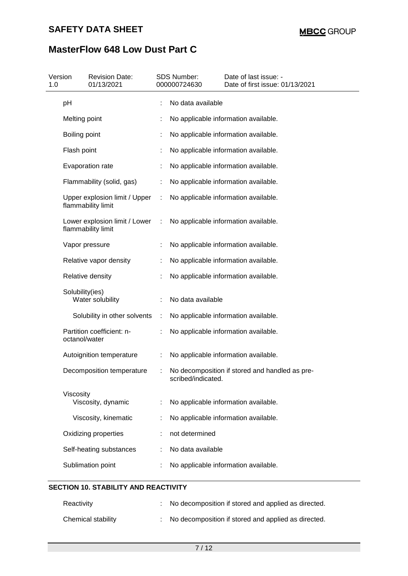| 1.0 | Version         | <b>Revision Date:</b><br>01/13/2021                 |   | SDS Number:<br>000000724630 | Date of last issue: -<br>Date of first issue: 01/13/2021 |
|-----|-----------------|-----------------------------------------------------|---|-----------------------------|----------------------------------------------------------|
|     | pH              |                                                     |   | No data available           |                                                          |
|     | Melting point   |                                                     |   |                             | No applicable information available.                     |
|     | Boiling point   |                                                     |   |                             | No applicable information available.                     |
|     | Flash point     |                                                     |   |                             | No applicable information available.                     |
|     |                 | Evaporation rate                                    |   |                             | No applicable information available.                     |
|     |                 | Flammability (solid, gas)                           |   |                             | No applicable information available.                     |
|     |                 | Upper explosion limit / Upper<br>flammability limit | ÷ |                             | No applicable information available.                     |
|     |                 | Lower explosion limit / Lower<br>flammability limit | ÷ |                             | No applicable information available.                     |
|     |                 | Vapor pressure                                      |   |                             | No applicable information available.                     |
|     |                 | Relative vapor density                              |   |                             | No applicable information available.                     |
|     |                 | Relative density                                    |   |                             | No applicable information available.                     |
|     | Solubility(ies) | Water solubility                                    |   | No data available           |                                                          |
|     |                 | Solubility in other solvents                        | ÷ |                             | No applicable information available.                     |
|     | octanol/water   | Partition coefficient: n-                           |   |                             | No applicable information available.                     |
|     |                 | Autoignition temperature                            |   |                             | No applicable information available.                     |
|     |                 | Decomposition temperature                           |   | scribed/indicated.          | No decomposition if stored and handled as pre-           |
|     | Viscosity       | Viscosity, dynamic                                  |   |                             | No applicable information available.                     |
|     |                 | Viscosity, kinematic                                |   |                             | No applicable information available.                     |
|     |                 | Oxidizing properties                                |   | not determined              |                                                          |
|     |                 | Self-heating substances                             |   | No data available           |                                                          |
|     |                 | Sublimation point                                   |   |                             | No applicable information available.                     |

### **SECTION 10. STABILITY AND REACTIVITY**

| Reactivity         | : No decomposition if stored and applied as directed. |
|--------------------|-------------------------------------------------------|
| Chemical stability | : No decomposition if stored and applied as directed. |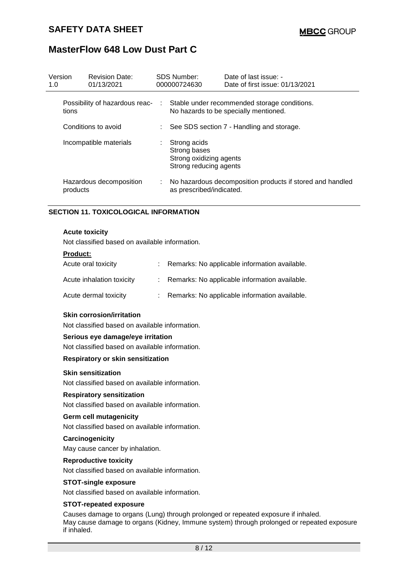| Version<br>1.0 |                                         | <b>Revision Date:</b><br>01/13/2021 |               | <b>SDS Number:</b><br>000000724630                                                    | Date of last issue: -<br>Date of first issue: 01/13/2021  |
|----------------|-----------------------------------------|-------------------------------------|---------------|---------------------------------------------------------------------------------------|-----------------------------------------------------------|
|                | Possibility of hazardous reac-<br>tions |                                     | $\mathcal{L}$ | Stable under recommended storage conditions.<br>No hazards to be specially mentioned. |                                                           |
|                | Conditions to avoid                     |                                     |               | : See SDS section 7 - Handling and storage.                                           |                                                           |
|                | Incompatible materials                  |                                     | t.            | Strong acids<br>Strong bases<br>Strong oxidizing agents<br>Strong reducing agents     |                                                           |
|                | products                                | Hazardous decomposition             | ÷.            | as prescribed/indicated.                                                              | No hazardous decomposition products if stored and handled |

#### **SECTION 11. TOXICOLOGICAL INFORMATION**

#### **Acute toxicity**

Not classified based on available information.

#### **Product:**

| Acute oral toxicity       | : Remarks: No applicable information available. |
|---------------------------|-------------------------------------------------|
| Acute inhalation toxicity | : Remarks: No applicable information available. |
| Acute dermal toxicity     | : Remarks: No applicable information available. |

#### **Skin corrosion/irritation**

Not classified based on available information.

#### **Serious eye damage/eye irritation**

Not classified based on available information.

#### **Respiratory or skin sensitization**

#### **Skin sensitization**

Not classified based on available information.

#### **Respiratory sensitization**

Not classified based on available information.

#### **Germ cell mutagenicity**

Not classified based on available information.

#### **Carcinogenicity**

May cause cancer by inhalation.

#### **Reproductive toxicity**

Not classified based on available information.

#### **STOT-single exposure**

Not classified based on available information.

#### **STOT-repeated exposure**

Causes damage to organs (Lung) through prolonged or repeated exposure if inhaled. May cause damage to organs (Kidney, Immune system) through prolonged or repeated exposure if inhaled.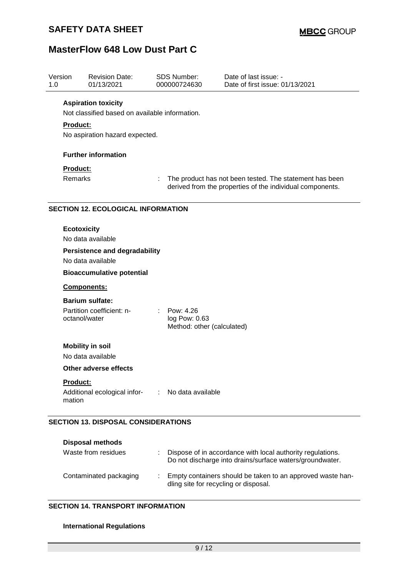| Version<br>1.0                   | <b>Revision Date:</b><br>01/13/2021                                                             |  | <b>SDS Number:</b><br>000000724630                                                                                   | Date of last issue: -<br>Date of first issue: 01/13/2021 |  |  |  |
|----------------------------------|-------------------------------------------------------------------------------------------------|--|----------------------------------------------------------------------------------------------------------------------|----------------------------------------------------------|--|--|--|
|                                  | <b>Aspiration toxicity</b><br>Not classified based on available information.<br><b>Product:</b> |  |                                                                                                                      |                                                          |  |  |  |
|                                  | No aspiration hazard expected.                                                                  |  |                                                                                                                      |                                                          |  |  |  |
|                                  | <b>Further information</b>                                                                      |  |                                                                                                                      |                                                          |  |  |  |
|                                  | Product:<br><b>Remarks</b>                                                                      |  | The product has not been tested. The statement has been<br>derived from the properties of the individual components. |                                                          |  |  |  |
|                                  | <b>SECTION 12. ECOLOGICAL INFORMATION</b>                                                       |  |                                                                                                                      |                                                          |  |  |  |
|                                  | <b>Ecotoxicity</b><br>No data available<br><b>Persistence and degradability</b>                 |  |                                                                                                                      |                                                          |  |  |  |
|                                  | No data available                                                                               |  |                                                                                                                      |                                                          |  |  |  |
| <b>Bioaccumulative potential</b> |                                                                                                 |  |                                                                                                                      |                                                          |  |  |  |
|                                  | Components:                                                                                     |  |                                                                                                                      |                                                          |  |  |  |
|                                  | <b>Barium sulfate:</b><br>Partition coefficient: n-<br>octanol/water                            |  | Pow: 4.26<br>log Pow: 0.63<br>Method: other (calculated)                                                             |                                                          |  |  |  |
|                                  | <b>Mobility in soil</b>                                                                         |  |                                                                                                                      |                                                          |  |  |  |
|                                  | No data available                                                                               |  |                                                                                                                      |                                                          |  |  |  |
|                                  | <b>Other adverse effects</b>                                                                    |  |                                                                                                                      |                                                          |  |  |  |
|                                  | Product:<br>Additional ecological infor- : No data available<br>mation                          |  |                                                                                                                      |                                                          |  |  |  |
|                                  | <b>SECTION 13. DISPOSAL CONSIDERATIONS</b><br><b>Disposal methods</b>                           |  |                                                                                                                      |                                                          |  |  |  |

| Waste from residues    | Dispose of in accordance with local authority regulations.<br>Do not discharge into drains/surface waters/groundwater. |
|------------------------|------------------------------------------------------------------------------------------------------------------------|
| Contaminated packaging | Empty containers should be taken to an approved waste han-<br>dling site for recycling or disposal.                    |

### **SECTION 14. TRANSPORT INFORMATION**

#### **International Regulations**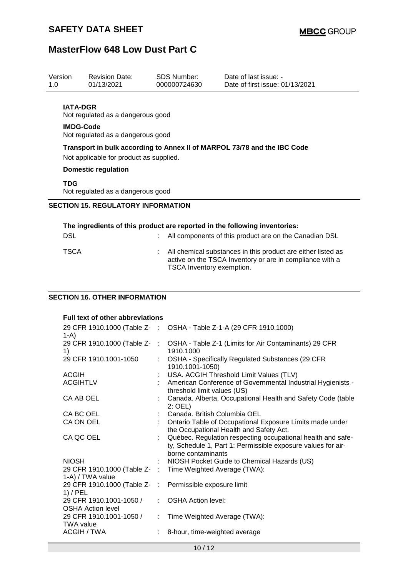| Version     | <b>Revision Date:</b>                                 | <b>SDS Number:</b>        | Date of last issue: -                                                                                                    |  |
|-------------|-------------------------------------------------------|---------------------------|--------------------------------------------------------------------------------------------------------------------------|--|
| 1.0         | 01/13/2021                                            | 000000724630              | Date of first issue: 01/13/2021                                                                                          |  |
|             | <b>IATA-DGR</b><br>Not regulated as a dangerous good  |                           |                                                                                                                          |  |
|             | <b>IMDG-Code</b><br>Not regulated as a dangerous good |                           |                                                                                                                          |  |
|             | Not applicable for product as supplied.               |                           | Transport in bulk according to Annex II of MARPOL 73/78 and the IBC Code                                                 |  |
|             | <b>Domestic regulation</b>                            |                           |                                                                                                                          |  |
| <b>TDG</b>  | Not regulated as a dangerous good                     |                           |                                                                                                                          |  |
|             | <b>SECTION 15. REGULATORY INFORMATION</b>             |                           |                                                                                                                          |  |
|             |                                                       |                           | The ingredients of this product are reported in the following inventories:                                               |  |
| <b>DSL</b>  |                                                       |                           | All components of this product are on the Canadian DSL                                                                   |  |
| <b>TSCA</b> |                                                       | TSCA Inventory exemption. | All chemical substances in this product are either listed as<br>active on the TSCA Inventory or are in compliance with a |  |
|             | <b>SECTION 16. OTHER INFORMATION</b>                  |                           |                                                                                                                          |  |
|             |                                                       |                           |                                                                                                                          |  |
|             | <b>Full text of other abbreviations</b>               |                           |                                                                                                                          |  |
| $1-A$       |                                                       |                           | 29 CFR 1910.1000 (Table Z- : OSHA - Table Z-1-A (29 CFR 1910.1000)                                                       |  |
|             |                                                       |                           | 29 CER 1910 1000 (Table Z- CSHA - Table Z-1 (Limits for Air Contaminants) 29 CER                                         |  |

| $1 - M$                                                               |                                                                                                                                                   |
|-----------------------------------------------------------------------|---------------------------------------------------------------------------------------------------------------------------------------------------|
| 1)                                                                    | 29 CFR 1910.1000 (Table Z- : OSHA - Table Z-1 (Limits for Air Contaminants) 29 CFR<br>1910.1000                                                   |
| 29 CFR 1910.1001-1050                                                 | : OSHA - Specifically Regulated Substances (29 CFR<br>1910.1001-1050)                                                                             |
| <b>ACGIH</b>                                                          | : USA. ACGIH Threshold Limit Values (TLV)                                                                                                         |
| <b>ACGIHTLV</b>                                                       | : American Conference of Governmental Industrial Hygienists -<br>threshold limit values (US)                                                      |
| CA AB OEL                                                             | : Canada. Alberta, Occupational Health and Safety Code (table<br>$2:$ OEL)                                                                        |
| CA BC OEL                                                             | : Canada. British Columbia OEL                                                                                                                    |
| CA ON OEL                                                             | : Ontario Table of Occupational Exposure Limits made under<br>the Occupational Health and Safety Act.                                             |
| CA QC OEL                                                             | Québec. Regulation respecting occupational health and safe-<br>ty, Schedule 1, Part 1: Permissible exposure values for air-<br>borne contaminants |
| <b>NIOSH</b>                                                          | : NIOSH Pocket Guide to Chemical Hazards (US)                                                                                                     |
| 1-A) / TWA value                                                      | 29 CFR 1910.1000 (Table Z- : Time Weighted Average (TWA):                                                                                         |
| 29 CFR 1910.1000 (Table Z- : Permissible exposure limit<br>$1)$ / PEL |                                                                                                                                                   |
| 29 CFR 1910.1001-1050 /<br><b>OSHA Action level</b>                   | : OSHA Action level:                                                                                                                              |
| 29 CFR 1910.1001-1050 /<br><b>TWA value</b>                           | : Time Weighted Average (TWA):                                                                                                                    |
| ACGIH / TWA                                                           | 8-hour, time-weighted average                                                                                                                     |
|                                                                       |                                                                                                                                                   |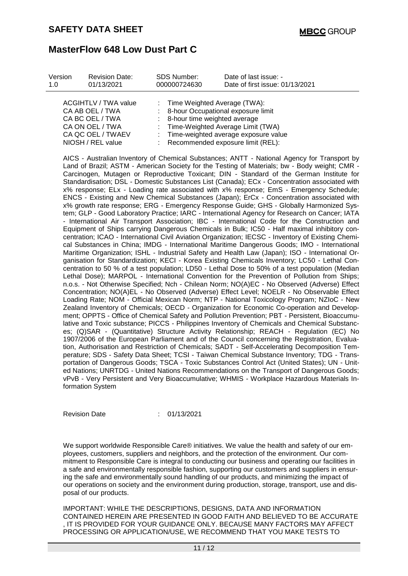| Version<br>1.0 | <b>Revision Date:</b><br>01/13/2021                                                                       | <b>SDS Number:</b><br>000000724630 | Date of last issue: -<br>Date of first issue: 01/13/2021                                                                                                                                  |
|----------------|-----------------------------------------------------------------------------------------------------------|------------------------------------|-------------------------------------------------------------------------------------------------------------------------------------------------------------------------------------------|
|                | <b>ACGIHTLV / TWA value</b><br>CA AB OEL / TWA<br>CA BC OEL / TWA<br>CA ON OEL / TWA<br>CA QC OEL / TWAEV |                                    | : Time Weighted Average (TWA):<br>: 8-hour Occupational exposure limit<br>: 8-hour time weighted average<br>: Time-Weighted Average Limit (TWA)<br>: Time-weighted average exposure value |
|                | NIOSH / REL value                                                                                         |                                    | : Recommended exposure limit (REL):                                                                                                                                                       |

AICS - Australian Inventory of Chemical Substances; ANTT - National Agency for Transport by Land of Brazil; ASTM - American Society for the Testing of Materials; bw - Body weight; CMR - Carcinogen, Mutagen or Reproductive Toxicant; DIN - Standard of the German Institute for Standardisation; DSL - Domestic Substances List (Canada); ECx - Concentration associated with x% response; ELx - Loading rate associated with x% response; EmS - Emergency Schedule; ENCS - Existing and New Chemical Substances (Japan); ErCx - Concentration associated with x% growth rate response; ERG - Emergency Response Guide; GHS - Globally Harmonized System; GLP - Good Laboratory Practice; IARC - International Agency for Research on Cancer; IATA - International Air Transport Association; IBC - International Code for the Construction and Equipment of Ships carrying Dangerous Chemicals in Bulk; IC50 - Half maximal inhibitory concentration; ICAO - International Civil Aviation Organization; IECSC - Inventory of Existing Chemical Substances in China; IMDG - International Maritime Dangerous Goods; IMO - International Maritime Organization; ISHL - Industrial Safety and Health Law (Japan); ISO - International Organisation for Standardization; KECI - Korea Existing Chemicals Inventory; LC50 - Lethal Concentration to 50 % of a test population; LD50 - Lethal Dose to 50% of a test population (Median Lethal Dose); MARPOL - International Convention for the Prevention of Pollution from Ships; n.o.s. - Not Otherwise Specified; Nch - Chilean Norm; NO(A)EC - No Observed (Adverse) Effect Concentration; NO(A)EL - No Observed (Adverse) Effect Level; NOELR - No Observable Effect Loading Rate; NOM - Official Mexican Norm; NTP - National Toxicology Program; NZIoC - New Zealand Inventory of Chemicals; OECD - Organization for Economic Co-operation and Development; OPPTS - Office of Chemical Safety and Pollution Prevention; PBT - Persistent, Bioaccumulative and Toxic substance; PICCS - Philippines Inventory of Chemicals and Chemical Substances; (Q)SAR - (Quantitative) Structure Activity Relationship; REACH - Regulation (EC) No 1907/2006 of the European Parliament and of the Council concerning the Registration, Evaluation, Authorisation and Restriction of Chemicals; SADT - Self-Accelerating Decomposition Temperature; SDS - Safety Data Sheet; TCSI - Taiwan Chemical Substance Inventory; TDG - Transportation of Dangerous Goods; TSCA - Toxic Substances Control Act (United States); UN - United Nations; UNRTDG - United Nations Recommendations on the Transport of Dangerous Goods; vPvB - Very Persistent and Very Bioaccumulative; WHMIS - Workplace Hazardous Materials Information System

Revision Date : 01/13/2021

We support worldwide Responsible Care® initiatives. We value the health and safety of our employees, customers, suppliers and neighbors, and the protection of the environment. Our commitment to Responsible Care is integral to conducting our business and operating our facilities in a safe and environmentally responsible fashion, supporting our customers and suppliers in ensuring the safe and environmentally sound handling of our products, and minimizing the impact of our operations on society and the environment during production, storage, transport, use and disposal of our products.

IMPORTANT: WHILE THE DESCRIPTIONS, DESIGNS, DATA AND INFORMATION CONTAINED HEREIN ARE PRESENTED IN GOOD FAITH AND BELIEVED TO BE ACCURATE , IT IS PROVIDED FOR YOUR GUIDANCE ONLY. BECAUSE MANY FACTORS MAY AFFECT PROCESSING OR APPLICATION/USE, WE RECOMMEND THAT YOU MAKE TESTS TO